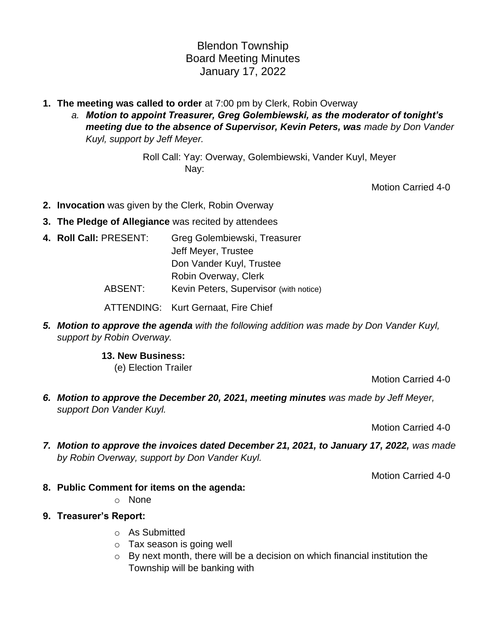Blendon Township Board Meeting Minutes January 17, 2022

- **1. The meeting was called to order** at 7:00 pm by Clerk, Robin Overway
	- *a. Motion to appoint Treasurer, Greg Golembiewski, as the moderator of tonight's meeting due to the absence of Supervisor, Kevin Peters, was made by Don Vander Kuyl, support by Jeff Meyer.*

Roll Call: Yay: Overway, Golembiewski, Vander Kuyl, Meyer Nay:

Motion Carried 4-0

- **2. Invocation** was given by the Clerk, Robin Overway
- **3. The Pledge of Allegiance** was recited by attendees
- **4. Roll Call:** PRESENT: Greg Golembiewski, Treasurer Jeff Meyer, Trustee Don Vander Kuyl, Trustee Robin Overway, Clerk ABSENT: Kevin Peters, Supervisor (with notice)

ATTENDING: Kurt Gernaat, Fire Chief

*5. Motion to approve the agenda with the following addition was made by Don Vander Kuyl, support by Robin Overway.*

**13. New Business:**

(e) Election Trailer

Motion Carried 4-0

*6. Motion to approve the December 20, 2021, meeting minutes was made by Jeff Meyer, support Don Vander Kuyl.* 

Motion Carried 4-0

7. Motion to approve the invoices dated December 21, 2021, to January 17, 2022, was made *by Robin Overway, support by Don Vander Kuyl.* 

Motion Carried 4-0

- **8. Public Comment for items on the agenda:**
	- o None
- **9. Treasurer's Report:**
	- o As Submitted
	- o Tax season is going well
	- o By next month, there will be a decision on which financial institution the Township will be banking with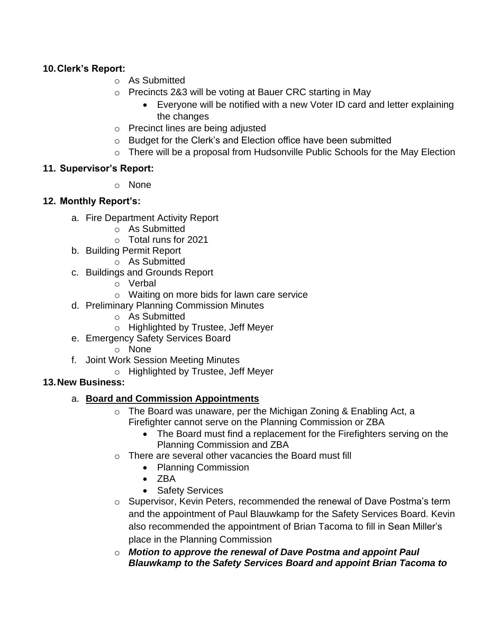## **10.Clerk's Report:**

- o As Submitted
- o Precincts 2&3 will be voting at Bauer CRC starting in May
	- Everyone will be notified with a new Voter ID card and letter explaining the changes
- o Precinct lines are being adjusted
- o Budget for the Clerk's and Election office have been submitted
- $\circ$  There will be a proposal from Hudsonville Public Schools for the May Election

## **11. Supervisor's Report:**

o None

# **12. Monthly Report's:**

- a. Fire Department Activity Report
	- o As Submitted
	- o Total runs for 2021
- b. Building Permit Report
	- o As Submitted
- c. Buildings and Grounds Report
	- o Verbal
	- o Waiting on more bids for lawn care service
- d. Preliminary Planning Commission Minutes
	- o As Submitted
	- o Highlighted by Trustee, Jeff Meyer
- e. Emergency Safety Services Board
	- o None
- f. Joint Work Session Meeting Minutes
	- o Highlighted by Trustee, Jeff Meyer

# **13.New Business:**

# a. **Board and Commission Appointments**

- o The Board was unaware, per the Michigan Zoning & Enabling Act, a Firefighter cannot serve on the Planning Commission or ZBA
	- The Board must find a replacement for the Firefighters serving on the Planning Commission and ZBA
- o There are several other vacancies the Board must fill
	- Planning Commission
	- ZBA
	- Safety Services
- o Supervisor, Kevin Peters, recommended the renewal of Dave Postma's term and the appointment of Paul Blauwkamp for the Safety Services Board. Kevin also recommended the appointment of Brian Tacoma to fill in Sean Miller's place in the Planning Commission
- o *Motion to approve the renewal of Dave Postma and appoint Paul Blauwkamp to the Safety Services Board and appoint Brian Tacoma to*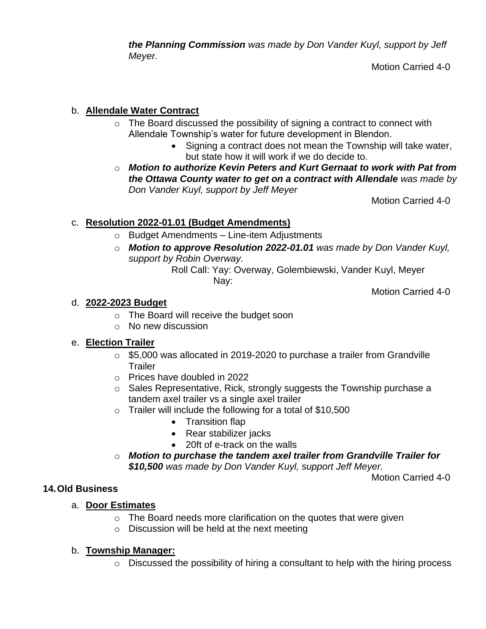*the Planning Commission was made by Don Vander Kuyl, support by Jeff Meyer.* 

Motion Carried 4-0

## b. **Allendale Water Contract**

- o The Board discussed the possibility of signing a contract to connect with Allendale Township's water for future development in Blendon.
	- Signing a contract does not mean the Township will take water, but state how it will work if we do decide to.
- o *Motion to authorize Kevin Peters and Kurt Gernaat to work with Pat from the Ottawa County water to get on a contract with Allendale was made by Don Vander Kuyl, support by Jeff Meyer*

Motion Carried 4-0

## c. **Resolution 2022-01.01 (Budget Amendments)**

- o Budget Amendments Line-item Adjustments
- o *Motion to approve Resolution 2022-01.01 was made by Don Vander Kuyl, support by Robin Overway.*

Roll Call: Yay: Overway, Golembiewski, Vander Kuyl, Meyer Nay:

Motion Carried 4-0

## d. **2022-2023 Budget**

- o The Board will receive the budget soon
- o No new discussion

## e. **Election Trailer**

- o \$5,000 was allocated in 2019-2020 to purchase a trailer from Grandville Trailer
- o Prices have doubled in 2022
- o Sales Representative, Rick, strongly suggests the Township purchase a tandem axel trailer vs a single axel trailer
- $\circ$  Trailer will include the following for a total of \$10,500
	- Transition flap
	- Rear stabilizer jacks
	- 20ft of e-track on the walls
- o *Motion to purchase the tandem axel trailer from Grandville Trailer for \$10,500 was made by Don Vander Kuyl, support Jeff Meyer.*

Motion Carried 4-0

### **14.Old Business**

## a. **Door Estimates**

- $\circ$  The Board needs more clarification on the quotes that were given
- o Discussion will be held at the next meeting

## b. **Township Manager:**

 $\circ$  Discussed the possibility of hiring a consultant to help with the hiring process